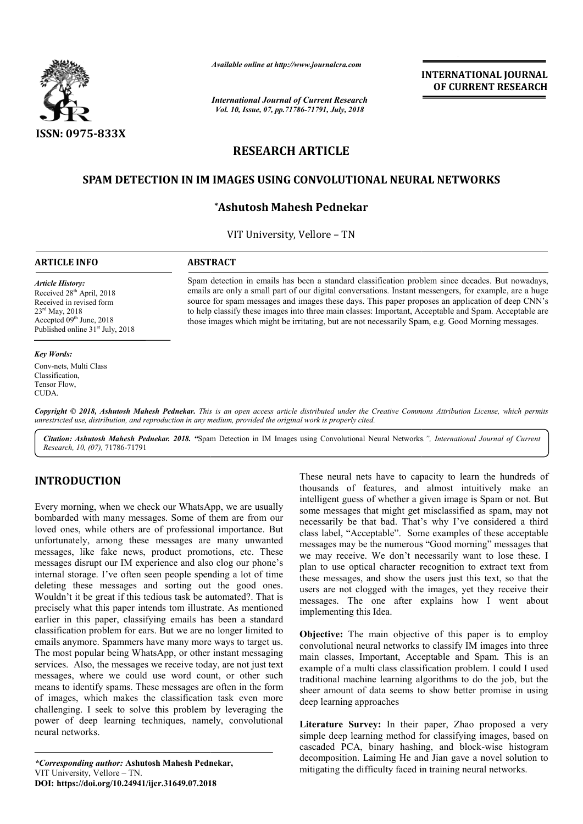

*Available online at http://www.journalcra.com*

*International Journal of Current Research Vol. 10, Issue, 07, pp.71786-71791, July, 2018*

**INTERNATIONAL JOURNAL OF CURRENT RESEARCH**

# **RESEARCH ARTICLE**

## **SPAM DETECTION IN IM IMAGES USING CONVOLUTIONAL NEURAL NETWORKS**

## **\*Ashutosh Mahesh Pednekar**

VIT University, Vellore – TN

#### **ARTICLE INFO ABSTRACT**

*Article History:* Received 28<sup>th</sup> April, 2018 Received in revised form 23rd May, 2018 Accepted 09<sup>th</sup> June, 2018 Published online  $31<sup>st</sup>$  July, 2018

#### *Key Words:*

Conv-nets, Multi Class **Classification** Tensor Flow, CUDA.

Spam detection in emails has been a standard classification problem since decades. But nowadays, emails are only a small part of our digital conversations. Instant messengers, for example, are a huge source for spam messages and images these days. This paper proposes an application of deep CNN's to help classify these images into three main classes: Important, Acceptable and Spam. Acceptable are those images which might be irritating, but are not necessarily Spam, e.g. Good Morning messages. Spam detection in emails has been a standard classification problem since decades. But nowadays, emails are only a small part of our digital conversations. Instant messengers, for example, are a huge source for spam messag

Copyright © 2018, Ashutosh Mahesh Pednekar. This is an open access article distributed under the Creative Commons Attribution License, which permits *unrestricted use, distribution, and reproduction in any medium, provided the original work is properly cited.*

Citation: Ashutosh Mahesh Pednekar. 2018. "Spam Detection in IM Images using Convolutional Neural Networks.", International Journal of Current *Research, 10, (07),* 71786-71791

### **INTRODUCTION**

Every morning, when we check our WhatsApp, we are usually bombarded with many messages. Some of them are from our loved ones, while others are of professional importance. But unfortunately, among these messages are many unwanted messages, like fake news, product promotions, etc. These messages disrupt our IM experience and also clog our phone's internal storage. I've often seen people spending a lot of time deleting these messages and sorting out the good ones. Wouldn't it be great if this tedious task be automated?. That is precisely what this paper intends tom illustrate. As mentioned earlier in this paper, classifying emails has been a standard classification problem for ears. But we are no longer limited to emails anymore. Spammers have many more ways to target us. The most popular being WhatsApp, or other instant messaging services. Also, the messages we receive today, are not just text messages, where we could use word count, or other such means to identify spams. These messages are often in the form precisely what this paper intends tom illustrate. As mentioned earlier in this paper, classifying emails has been a standard classification problem for ears. But we are no longer limited to emails anymore. Spammers have ma challenging. I seek to solve this problem by leveraging the power of deep learning techniques, namely, convolutional neural networks.

These neural nets have to capacity to learn the hundreds of thousands of features, and almost intuitively make an intelligent guess of whether a given image is Spam or not. But some messages that might get misclassified as spam, may not necessarily be that bad. That's why I've considered a third class label, "Acceptable". Some examples of these acceptable messages may be the numerous "Good morning" messages that we may receive. We don't necessarily want to lose these. I plan to use optical character recognition to extract text from these messages, and show the users just this text, so that the users are not clogged with the images, yet they receive their messages. The one after explains how I went about implementing this Idea. These neural nets have to capacity to learn the hundreds of thousands of features, and almost intuitively make an intelligent guess of whether a given image is Spam or not. But some messages that might get misclassified as **INTERNATIONAL JOURNAL OF CURRENT RESEARCH CONTREMATIONAL SOF CURRENT RESEARCH ALL NETWORKS**<br> **CONTREMATION ALL ALL NETWORKS**<br> **CONTREMATION ALL ALL NETWORKS**<br> **CONTREMATION ALL ALL NETWORKS**<br> **CONTREMATION ACCONTIFICATION** 

**Objective:** The main objective of this paper is to employ convolutional neural networks to classify IM images into three main classes, Important, Acceptable and Spam. This is an example of a multi class classification problem. I could I used traditional machine learning algorithms to do the job, but the sheer amount of data seems to show better promise in using deep learning approaches these messages, and show the users just this text, so that the<br>users are not clogged with the images, yet they receive their<br>messages. The one after explains how I went about<br>implementing this Idea.<br>**Objective:** The main o

**Literature Survey:** In their paper, Zhao proposed a very simple deep learning method for classifying images, based on sheer amount of data seems to show better promise in using<br>deep learning approaches<br>Literature Survey: In their paper, Zhao proposed a very<br>simple deep learning method for classifying images, based on<br>cascaded PCA, binary decomposition. Laiming He and Jian gave a novel solution to mitigating the difficulty faced in training neural networks.

*<sup>\*</sup>Corresponding author:* **Ashutosh Mahesh Pednekar Pednekar,** VIT University, Vellore – TN. **DOI: https://doi.org/10.24941/ijcr.31649.07.2018**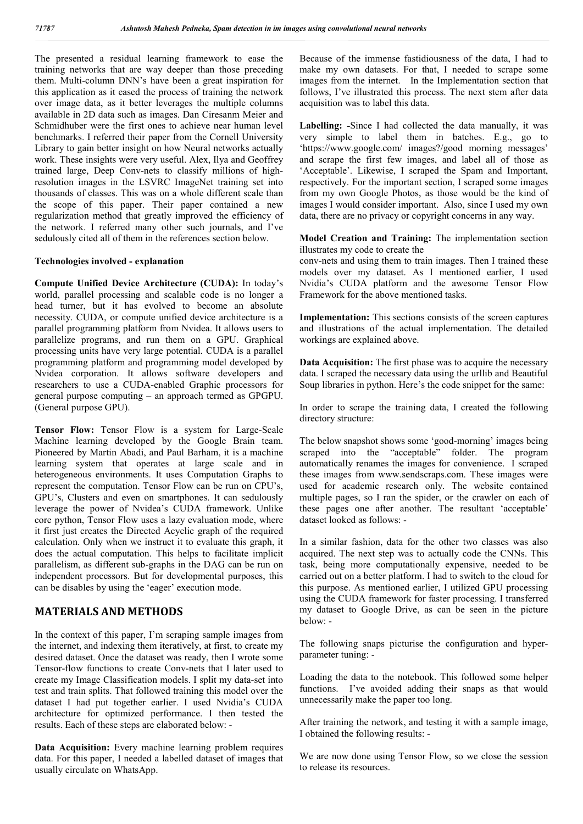The presented a residual learning framework to ease the training networks that are way deeper than those preceding them. Multi-column DNN's have been a great inspiration for this application as it eased the process of training the network over image data, as it better leverages the multiple columns available in 2D data such as images. Dan Ciresanm Meier and Schmidhuber were the first ones to achieve near human level benchmarks. I referred their paper from the Cornell University Library to gain better insight on how Neural networks actually work. These insights were very useful. Alex, Ilya and Geoffrey trained large, Deep Conv-nets to classify millions of highresolution images in the LSVRC ImageNet training set into thousands of classes. This was on a whole different scale than the scope of this paper. Their paper contained a new regularization method that greatly improved the efficiency of the network. I referred many other such journals, and I've sedulously cited all of them in the references section below.

#### **Technologies involved - explanation**

**Compute Unified Device Architecture (CUDA):** In today's world, parallel processing and scalable code is no longer a head turner, but it has evolved to become an absolute necessity. CUDA, or compute unified device architecture is a parallel programming platform from Nvidea. It allows users to parallelize programs, and run them on a GPU. Graphical processing units have very large potential. CUDA is a parallel programming platform and programming model developed by Nvidea corporation. It allows software developers and researchers to use a CUDA-enabled Graphic processors for general purpose computing – an approach termed as GPGPU. (General purpose GPU).

**Tensor Flow:** Tensor Flow is a system for Large-Scale Machine learning developed by the Google Brain team. Pioneered by Martin Abadi, and Paul Barham, it is a machine learning system that operates at large scale and in heterogeneous environments. It uses Computation Graphs to represent the computation. Tensor Flow can be run on CPU's, GPU's, Clusters and even on smartphones. It can sedulously leverage the power of Nvidea's CUDA framework. Unlike core python, Tensor Flow uses a lazy evaluation mode, where it first just creates the Directed Acyclic graph of the required calculation. Only when we instruct it to evaluate this graph, it does the actual computation. This helps to facilitate implicit parallelism, as different sub-graphs in the DAG can be run on independent processors. But for developmental purposes, this can be disables by using the 'eager' execution mode.

## **MATERIALS AND METHODS**

In the context of this paper, I'm scraping sample images from the internet, and indexing them iteratively, at first, to create my desired dataset. Once the dataset was ready, then I wrote some Tensor-flow functions to create Conv-nets that I later used to create my Image Classification models. I split my data-set into test and train splits. That followed training this model over the dataset I had put together earlier. I used Nvidia's CUDA architecture for optimized performance. I then tested the results. Each of these steps are elaborated below: -

**Data Acquisition:** Every machine learning problem requires data. For this paper, I needed a labelled dataset of images that usually circulate on WhatsApp.

Because of the immense fastidiousness of the data, I had to make my own datasets. For that, I needed to scrape some images from the internet. In the Implementation section that follows, I've illustrated this process. The next stem after data acquisition was to label this data.

**Labelling: -**Since I had collected the data manually, it was very simple to label them in batches. E.g., go to 'https://www.google.com/ images?/good morning messages' and scrape the first few images, and label all of those as 'Acceptable'. Likewise, I scraped the Spam and Important, respectively. For the important section, I scraped some images from my own Google Photos, as those would be the kind of images I would consider important. Also, since I used my own data, there are no privacy or copyright concerns in any way.

**Model Creation and Training:** The implementation section illustrates my code to create the

conv-nets and using them to train images. Then I trained these models over my dataset. As I mentioned earlier, I used Nvidia's CUDA platform and the awesome Tensor Flow Framework for the above mentioned tasks.

**Implementation:** This sections consists of the screen captures and illustrations of the actual implementation. The detailed workings are explained above.

**Data Acquisition:** The first phase was to acquire the necessary data. I scraped the necessary data using the urllib and Beautiful Soup libraries in python. Here's the code snippet for the same:

In order to scrape the training data, I created the following directory structure:

The below snapshot shows some 'good-morning' images being scraped into the "acceptable" folder. The program automatically renames the images for convenience. I scraped these images from www.sendscraps.com. These images were used for academic research only. The website contained multiple pages, so I ran the spider, or the crawler on each of these pages one after another. The resultant 'acceptable' dataset looked as follows: -

In a similar fashion, data for the other two classes was also acquired. The next step was to actually code the CNNs. This task, being more computationally expensive, needed to be carried out on a better platform. I had to switch to the cloud for this purpose. As mentioned earlier, I utilized GPU processing using the CUDA framework for faster processing. I transferred my dataset to Google Drive, as can be seen in the picture below: -

The following snaps picturise the configuration and hyperparameter tuning: -

Loading the data to the notebook. This followed some helper functions. I've avoided adding their snaps as that would unnecessarily make the paper too long.

After training the network, and testing it with a sample image, I obtained the following results: -

We are now done using Tensor Flow, so we close the session to release its resources.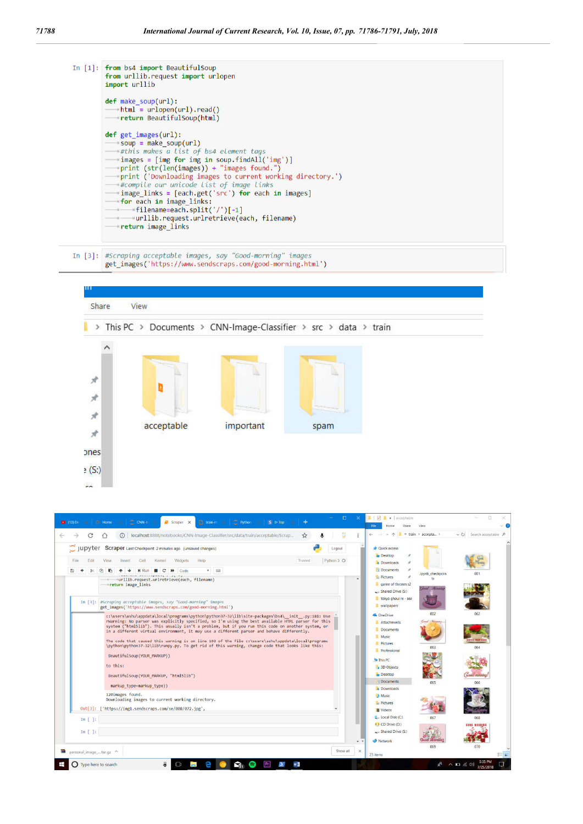

In [3]: #Scraping acceptable images, say "Good-morning" images get images('https://www.sendscraps.com/good-morning.html')



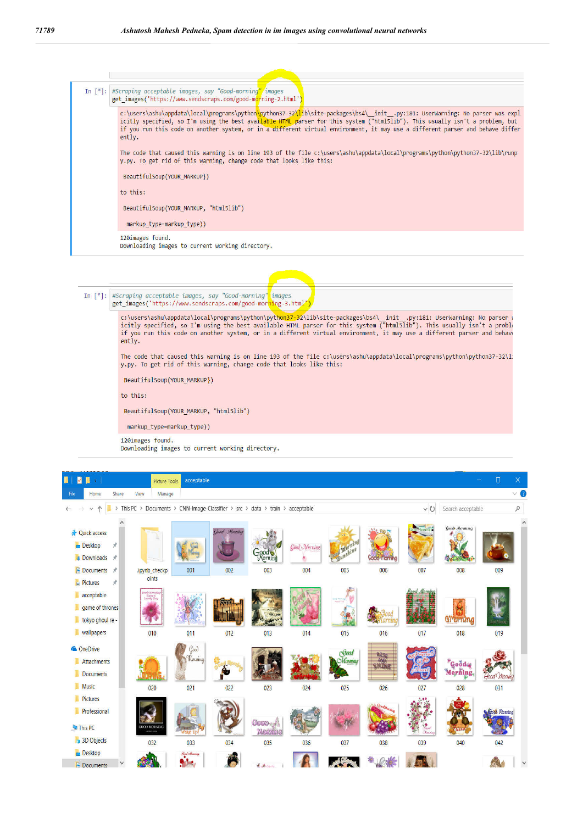

In [\*]: #Scraping acceptable images, say "Good-morning" images<br>get\_images('https://www.sendscraps.com/good-mor<mark>ni</mark>ng-3.html

c:\users\ashu\appdata\local\programs\python\python37-32\lib\site-packages\bs4\\_init\_.py:181: UserWarning: No parser \<br>icitly specified, so I'm using the best available HTML parser for this system ("html5lib"). This usually  $entiv.$ 

The code that caused this warning is on line 193 of the file c:\users\ashu\appdata\local\programs\python\python37-32\l y.py. To get rid of this warning, change code that looks like this:

BeautifulSoup(YOUR\_MARKUP})

to this:

BeautifulSoup(YOUR\_MARKUP, "html5lib")

markup type=markup type))

120images found.

Downloading images to current working directory.

| D<br>п<br>Ш<br>÷                                                                                                 |                                     | Picture Tools                                               | acceptable                                   |                     |                                                                    |                            |                                     |                       |                      |                                              | $\Box$<br>$\mathsf{X}$ |
|------------------------------------------------------------------------------------------------------------------|-------------------------------------|-------------------------------------------------------------|----------------------------------------------|---------------------|--------------------------------------------------------------------|----------------------------|-------------------------------------|-----------------------|----------------------|----------------------------------------------|------------------------|
| Home<br>File                                                                                                     | Share                               | View<br>Manage                                              |                                              |                     |                                                                    |                            |                                     |                       |                      |                                              | $\vee$ 0               |
| $\wedge$<br>v                                                                                                    | $\rightarrow$ This PC $\rightarrow$ |                                                             |                                              |                     | Documents > CNN-Image-Classifier > src > data > train > acceptable |                            |                                     |                       | v O                  | Search acceptable                            | $\boldsymbol{\beta}$   |
| <b>Quick access</b><br><b>Desktop</b><br>Downloads *<br><b>Documents</b> *                                       | ٨<br>$\mathcal{R}$                  | .ipynb_checkp                                               | 001                                          | Good Mouning<br>002 | 003                                                                | <b>Good</b> Morning<br>004 | ond <sup>o</sup><br>$shin^g$<br>005 | 006                   | 007                  | <b>Good Monning</b><br>008                   | $\wedge$<br>009        |
| $\blacksquare$ Pictures<br>ı<br>acceptable<br>ı<br>game of thrones<br>ı<br>tokyo ghoul re -<br><b>Wallpapers</b> | $\pi$                               | oints<br>uadr Marristing<br>- Have A<br>- Lovely Day<br>010 | 011                                          | 012                 | 013                                                                | 014                        | 015                                 | 016                   | 017                  | <b>QI'DITUTU</b><br>018                      | loot Mont<br>019       |
| <b>ConeDrive</b><br>R<br>Attachments<br><b>Documents</b><br><b>Music</b>                                         |                                     | 020                                                         | $\mathcal{G}^{\text{out}}$<br>Morning<br>021 | 022                 | 023                                                                | 024                        | Soad<br>Morning<br>025              | RASE<br>SHLING<br>026 | 027                  | <sup>*</sup> Goodag<br><b>Morning</b><br>028 | Good Mon<br>031        |
| Pictures<br>R<br>п<br>Professional<br>This PC<br>3D Objects                                                      |                                     | <b>JOOD MORNING</b><br>032                                  | 033                                          | 034                 | <b>Coop</b><br>MORTING<br>035                                      | 036                        | 037                                 | 038                   | <b>Mozais</b><br>039 | 040                                          | coas Morning<br>042    |
| <b>Desktop</b><br><b>El Documents</b>                                                                            |                                     |                                                             | Hard Officerson                              |                     | $J_{\rm{L}}$ , $M_{\rm{L}}$                                        |                            |                                     |                       |                      |                                              |                        |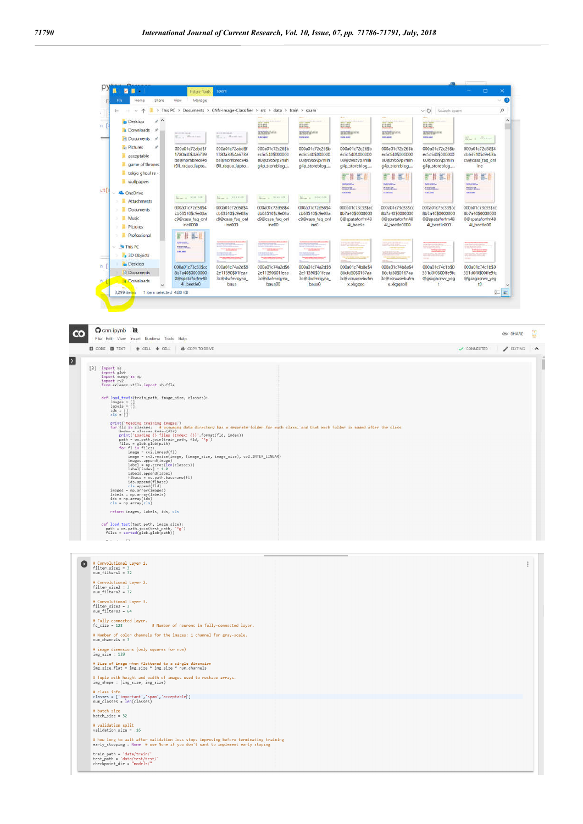